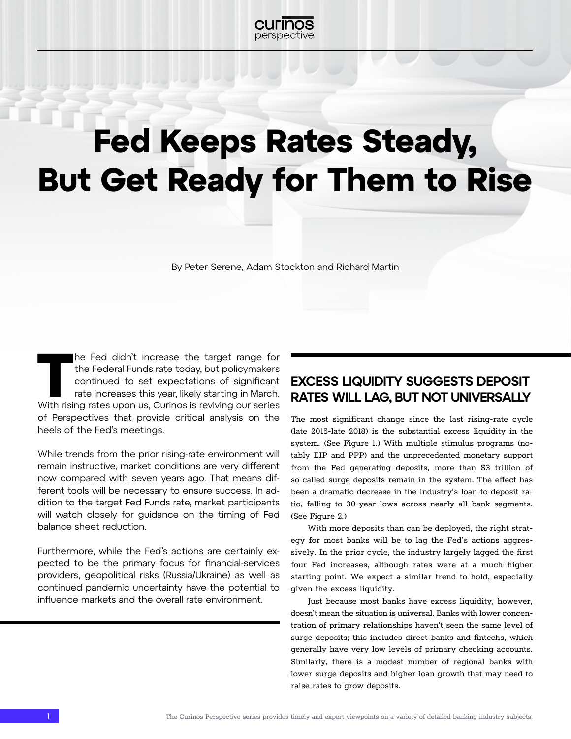

# Fed Keeps Rates Steady, But Get Ready for Them to Rise

By Peter Serene, Adam Stockton and Richard Martin

The Fed didn't increase the target range for<br>
the Federal Funds rate today, but policymakers<br>
continued to set expectations of significant<br>
rate increases this year, likely starting in March.<br>
With rising rates upon us, Cu the Federal Funds rate today, but policymakers continued to set expectations of significant rate increases this year, likely starting in March. of Perspectives that provide critical analysis on the heels of the Fed's meetings.

While trends from the prior rising-rate environment will remain instructive, market conditions are very different now compared with seven years ago. That means different tools will be necessary to ensure success. In addition to the target Fed Funds rate, market participants will watch closely for guidance on the timing of Fed balance sheet reduction.

Furthermore, while the Fed's actions are certainly expected to be the primary focus for financial-services providers, geopolitical risks (Russia/Ukraine) as well as continued pandemic uncertainty have the potential to influence markets and the overall rate environment.

### EXCESS LIQUIDITY SUGGESTS DEPOSIT RATES WILL LAG, BUT NOT UNIVERSALLY

The most significant change since the last rising-rate cycle (late 2015-late 2018) is the substantial excess liquidity in the system. (See Figure 1.) With multiple stimulus programs (notably EIP and PPP) and the unprecedented monetary support from the Fed generating deposits, more than \$3 trillion of so-called surge deposits remain in the system. The effect has been a dramatic decrease in the industry's loan-to-deposit ratio, falling to 30-year lows across nearly all bank segments. (See Figure 2.)

With more deposits than can be deployed, the right strategy for most banks will be to lag the Fed's actions aggressively. In the prior cycle, the industry largely lagged the first four Fed increases, although rates were at a much higher starting point. We expect a similar trend to hold, especially given the excess liquidity.

Just because most banks have excess liquidity, however, doesn't mean the situation is universal. Banks with lower concentration of primary relationships haven't seen the same level of surge deposits; this includes direct banks and fintechs, which generally have very low levels of primary checking accounts. Similarly, there is a modest number of regional banks with lower surge deposits and higher loan growth that may need to raise rates to grow deposits.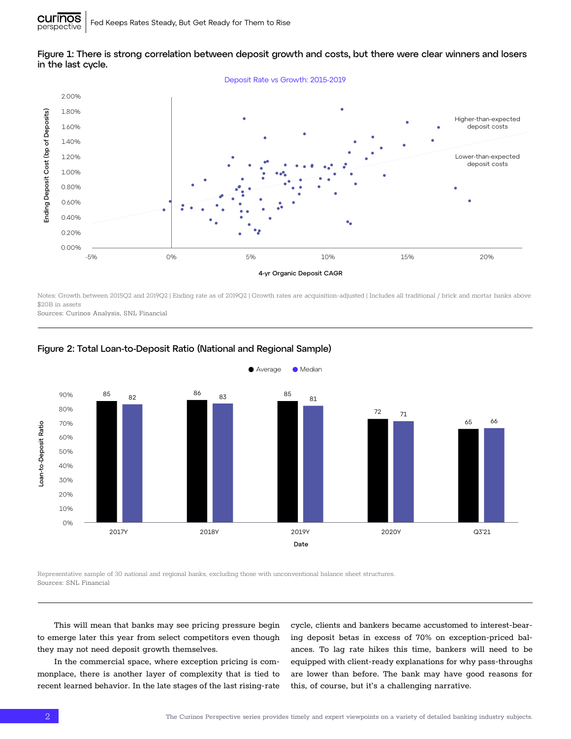

#### Figure 1: There is strong correlation between deposit growth and costs, but there were clear winners and losers in the last cycle.

Notes: Growth between 2015Q2 and 2019Q2 | Ending rate as of 2019Q2 | Growth rates are acquisition-adjusted | Includes all traditional / brick and mortar banks above \$20B in assets

Sources: Curinos Analysis, SNL Financial



#### Figure 2: Total Loan-to-Deposit Ratio (National and Regional Sample)

Representative sample of 30 national and regional banks, excluding those with unconventional balance sheet structures. Sources: SNL Financial

This will mean that banks may see pricing pressure begin to emerge later this year from select competitors even though they may not need deposit growth themselves.

In the commercial space, where exception pricing is commonplace, there is another layer of complexity that is tied to recent learned behavior. In the late stages of the last rising-rate cycle, clients and bankers became accustomed to interest-bearing deposit betas in excess of 70% on exception-priced balances. To lag rate hikes this time, bankers will need to be equipped with client-ready explanations for why pass-throughs are lower than before. The bank may have good reasons for this, of course, but it's a challenging narrative.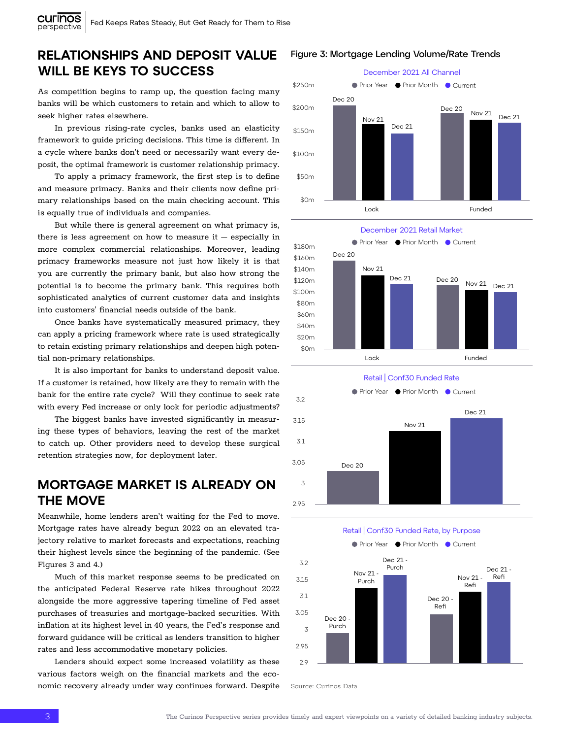## RELATIONSHIPS AND DEPOSIT VALUE WILL BE KEYS TO SUCCESS

As competition begins to ramp up, the question facing many banks will be which customers to retain and which to allow to seek higher rates elsewhere.

In previous rising-rate cycles, banks used an elasticity framework to guide pricing decisions. This time is different. In a cycle where banks don't need or necessarily want every deposit, the optimal framework is customer relationship primacy.

To apply a primacy framework, the first step is to define and measure primacy. Banks and their clients now define primary relationships based on the main checking account. This is equally true of individuals and companies.

there is less agreement on how to measure it – especially in the Current Current Manuel primacy frameworks measure not just how likely it is that potential is to become the primary bank. This requires both sophisticated analytics of current customer data and insights more complex commercial relationships. Moreover, leading you are currently the primary bank, but also how strong the But while there is general agreement on what primacy is, into customers' financial needs outside of the bank.

Once banks have systematically measured primacy, they to retain existing primary relationships and deepen high poten-  $\epsilon_{\rm 0m}$  , which current and the current  $\epsilon_{\rm 0m}$ tial non-primary relationships. can apply a pricing framework where rate is used strategically  $\text{sgn}_{\text{max}}$ 

It is also important for banks to understand deposit value.<br>So customer is ratained, how likely are they to remain with the bank for the entire rate cycle? Will they continue to seek rate If a customer is retained, how likely are they to remain with the with every Fed increase or only look for periodic adjustments?

to catch up. Other providers need to develop these surgical The biggest banks have invested significantly in measur- $3.15$ ing these types of behaviors, leaving the rest of the market **intervalse of the market** retention strategies now, for deployment later.

# 3.1 MORTGAGE MARKET IS ALREADY ON THE MOVE

3 Mortgage rates have already begun 2022 on an elevated tra-2.95 their highest levels since the beginning of the pandemic. (See Meanwhile, home lenders aren't waiting for the Fed to move. 3.2 Figures 3 and 4.) Retail | Conf30 Funded Rate Retail | Conf30 Funded Rate, by Purpose Retail | Conf30 Funded Rate, by Purposejectory relative to market forecasts and expectations, reaching

**1416** alongside the more aggressive tapering timeline of Fed asset 3.05 Dec 20 inflation at its highest level in 40 years, the Fed's response and 3 forward guidance will be critical as lenders transition to higher the anticipated Federal Reserve rate hikes throughout 2022 Much of this market response seems to be predicated on purchases of treasuries and mortgage-backed securities. With rates and less accommodative monetary policies.

Lenders should expect some increased volatility as these various factors weigh on the financial markets and the economic recovery already under way continues forward. Despite

#### Figure 3: Mortgage Lending Volume/Rate Trends









Source: Curinos Data